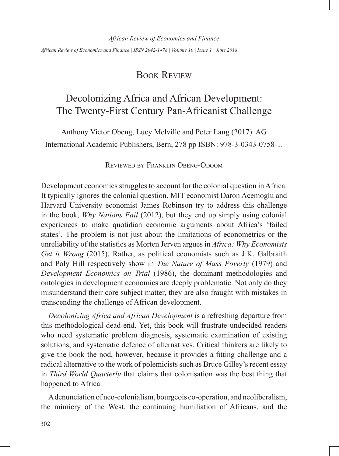*African Review of Economics and Finance*

*African Review of Economics and Finance | ISSN 2042-1478 | Volume 10 | Issue 1 | June 2018*

# Book Review

# Decolonizing Africa and African Development: The Twenty-First Century Pan-Africanist Challenge

Anthony Victor Obeng, Lucy Melville and Peter Lang (2017). AG International Academic Publishers, Bern, 278 pp ISBN: 978-3-0343-0758-1.

## Reviewed by Franklin Obeng-Odoom

Development economics struggles to account for the colonial question in Africa. It typically ignores the colonial question. MIT economist Daron Acemoglu and Harvard University economist James Robinson try to address this challenge in the book, *Why Nations Fail* (2012), but they end up simply using colonial experiences to make quotidian economic arguments about Africa's 'failed states'. The problem is not just about the limitations of econometrics or the unreliability of the statistics as Morten Jerven argues in *Africa: Why Economists Get it Wrong* (2015). Rather, as political economists such as J.K. Galbraith and Poly Hill respectively show in *The Nature of Mass Poverty* (1979) and *Development Economics on Trial* (1986), the dominant methodologies and ontologies in development economics are deeply problematic. Not only do they misunderstand their core subject matter, they are also fraught with mistakes in transcending the challenge of African development.

*Decolonizing Africa and African Development* is a refreshing departure from this methodological dead-end. Yet, this book will frustrate undecided readers who need systematic problem diagnosis, systematic examination of existing solutions, and systematic defence of alternatives. Critical thinkers are likely to give the book the nod, however, because it provides a fitting challenge and a radical alternative to the work of polemicists such as Bruce Gilley's recent essay in *Third World Quarterly* that claims that colonisation was the best thing that happened to Africa.

A denunciation of neo-colonialism, bourgeois co-operation, and neoliberalism, the mimicry of the West, the continuing humiliation of Africans, and the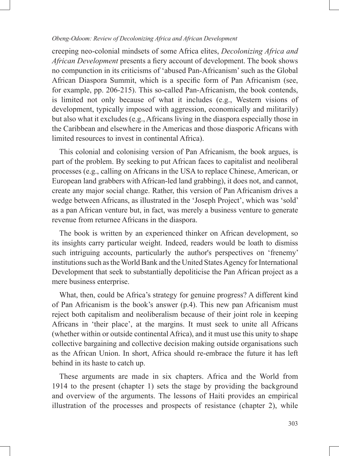### *Obeng-Odoom: Review of Decolonizing Africa and African Development*

creeping neo-colonial mindsets of some Africa elites, *Decolonizing Africa and African Development* presents a fiery account of development. The book shows no compunction in its criticisms of 'abused Pan-Africanism' such as the Global African Diaspora Summit, which is a specific form of Pan Africanism (see, for example, pp. 206-215). This so-called Pan-Africanism, the book contends, is limited not only because of what it includes (e.g., Western visions of development, typically imposed with aggression, economically and militarily) but also what it excludes (e.g., Africans living in the diaspora especially those in the Caribbean and elsewhere in the Americas and those diasporic Africans with limited resources to invest in continental Africa).

This colonial and colonising version of Pan Africanism, the book argues, is part of the problem. By seeking to put African faces to capitalist and neoliberal processes (e.g., calling on Africans in the USA to replace Chinese, American, or European land grabbers with African-led land grabbing), it does not, and cannot, create any major social change. Rather, this version of Pan Africanism drives a wedge between Africans, as illustrated in the 'Joseph Project', which was 'sold' as a pan African venture but, in fact, was merely a business venture to generate revenue from returnee Africans in the diaspora.

The book is written by an experienced thinker on African development, so its insights carry particular weight. Indeed, readers would be loath to dismiss such intriguing accounts, particularly the author's perspectives on 'frenemy' institutions such as the World Bank and the United States Agency for International Development that seek to substantially depoliticise the Pan African project as a mere business enterprise.

What, then, could be Africa's strategy for genuine progress? A different kind of Pan Africanism is the book's answer (p.4). This new pan Africanism must reject both capitalism and neoliberalism because of their joint role in keeping Africans in 'their place', at the margins. It must seek to unite all Africans (whether within or outside continental Africa), and it must use this unity to shape collective bargaining and collective decision making outside organisations such as the African Union. In short, Africa should re-embrace the future it has left behind in its haste to catch up.

These arguments are made in six chapters. Africa and the World from 1914 to the present (chapter 1) sets the stage by providing the background and overview of the arguments. The lessons of Haiti provides an empirical illustration of the processes and prospects of resistance (chapter 2), while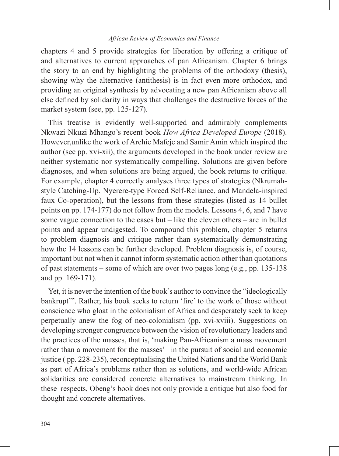#### *African Review of Economics and Finance*

chapters 4 and 5 provide strategies for liberation by offering a critique of and alternatives to current approaches of pan Africanism. Chapter 6 brings the story to an end by highlighting the problems of the orthodoxy (thesis), showing why the alternative (antithesis) is in fact even more orthodox, and providing an original synthesis by advocating a new pan Africanism above all else defined by solidarity in ways that challenges the destructive forces of the market system (see, pp. 125-127).

This treatise is evidently well-supported and admirably complements Nkwazi Nkuzi Mhango's recent book *How Africa Developed Europe* (2018). However,unlike the work of Archie Mafeje and Samir Amin which inspired the author (see pp. xvi-xii), the arguments developed in the book under review are neither systematic nor systematically compelling. Solutions are given before diagnoses, and when solutions are being argued, the book returns to critique. For example, chapter 4 correctly analyses three types of strategies (Nkrumahstyle Catching-Up, Nyerere-type Forced Self-Reliance, and Mandela-inspired faux Co-operation), but the lessons from these strategies (listed as 14 bullet points on pp. 174-177) do not follow from the models. Lessons 4, 6, and 7 have some vague connection to the cases but – like the eleven others – are in bullet points and appear undigested. To compound this problem, chapter 5 returns to problem diagnosis and critique rather than systematically demonstrating how the 14 lessons can be further developed. Problem diagnosis is, of course, important but not when it cannot inform systematic action other than quotations of past statements – some of which are over two pages long (e.g., pp. 135-138 and pp. 169-171).

Yet, it is never the intention of the book's author to convince the "ideologically bankrupt'". Rather, his book seeks to return 'fire' to the work of those without conscience who gloat in the colonialism of Africa and desperately seek to keep perpetually anew the fog of neo-colonialism (pp. xvi-xviii). Suggestions on developing stronger congruence between the vision of revolutionary leaders and the practices of the masses, that is, 'making Pan-Africanism a mass movement rather than a movement for the masses' in the pursuit of social and economic justice ( pp. 228-235), reconceptualising the United Nations and the World Bank as part of Africa's problems rather than as solutions, and world-wide African solidarities are considered concrete alternatives to mainstream thinking. In these respects, Obeng's book does not only provide a critique but also food for thought and concrete alternatives.